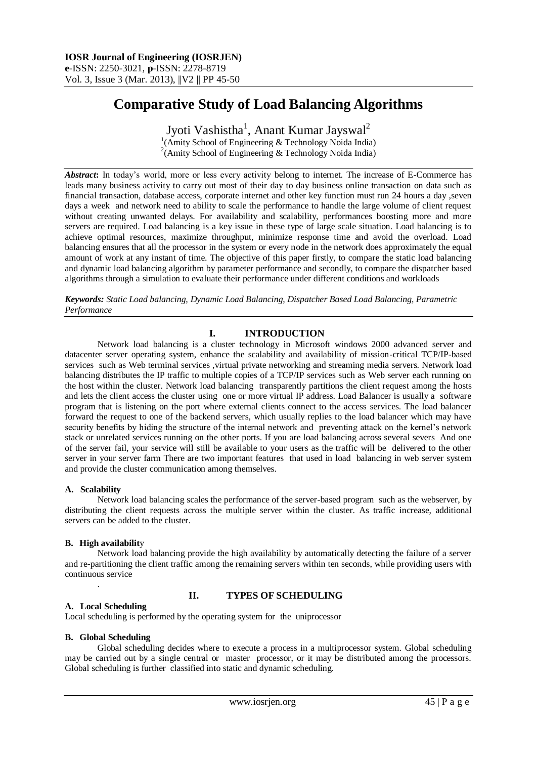# **Comparative Study of Load Balancing Algorithms**

Jyoti Vashistha<sup>1</sup>, Anant Kumar Jayswal<sup>2</sup> <sup>1</sup>(Amity School of Engineering & Technology Noida India) <sup>2</sup>(Amity School of Engineering & Technology Noida India)

*Abstract***:** In today's world, more or less every activity belong to internet. The increase of E-Commerce has leads many business activity to carry out most of their day to day business online transaction on data such as financial transaction, database access, corporate internet and other key function must run 24 hours a day ,seven days a week and network need to ability to scale the performance to handle the large volume of client request without creating unwanted delays. For availability and scalability, performances boosting more and more servers are required. Load balancing is a key issue in these type of large scale situation. Load balancing is to achieve optimal resources, maximize throughput, minimize response time and avoid the overload. Load balancing ensures that all the processor in the system or every node in the network does approximately the equal amount of work at any instant of time. The objective of this paper firstly, to compare the static load balancing and dynamic load balancing algorithm by parameter performance and secondly, to compare the dispatcher based algorithms through a simulation to evaluate their performance under different conditions and workloads

*Keywords: Static Load balancing, Dynamic Load Balancing, Dispatcher Based Load Balancing, Parametric Performance*

## **I. INTRODUCTION**

Network load balancing is a cluster technology in Microsoft windows 2000 advanced server and datacenter server operating system, enhance the scalability and availability of mission-critical TCP/IP-based services such as Web terminal services ,virtual private networking and streaming media servers. Network load balancing distributes the IP traffic to multiple copies of a TCP/IP services such as Web server each running on the host within the cluster. Network load balancing transparently partitions the client request among the hosts and lets the client access the cluster using one or more virtual IP address. Load Balancer is usually a software program that is listening on the port where external clients connect to the access services. The load balancer forward the request to one of the backend servers, which usually replies to the load balancer which may have security benefits by hiding the structure of the internal network and preventing attack on the kernel's network stack or unrelated services running on the other ports. If you are load balancing across several severs And one of the server fail, your service will still be available to your users as the traffic will be delivered to the other server in your server farm There are two important features that used in load balancing in web server system and provide the cluster communication among themselves.

#### **A. Scalability**

Network load balancing scales the performance of the server-based program such as the webserver, by distributing the client requests across the multiple server within the cluster. As traffic increase, additional servers can be added to the cluster.

#### **B. High availabilit**y

Network load balancing provide the high availability by automatically detecting the failure of a server and re-partitioning the client traffic among the remaining servers within ten seconds, while providing users with continuous service .

#### **II. TYPES OF SCHEDULING**

#### **A. Local Scheduling**

Local scheduling is performed by the operating system for the uniprocessor

#### **B. Global Scheduling**

Global scheduling decides where to execute a process in a multiprocessor system. Global scheduling may be carried out by a single central or master processor, or it may be distributed among the processors. Global scheduling is further classified into static and dynamic scheduling.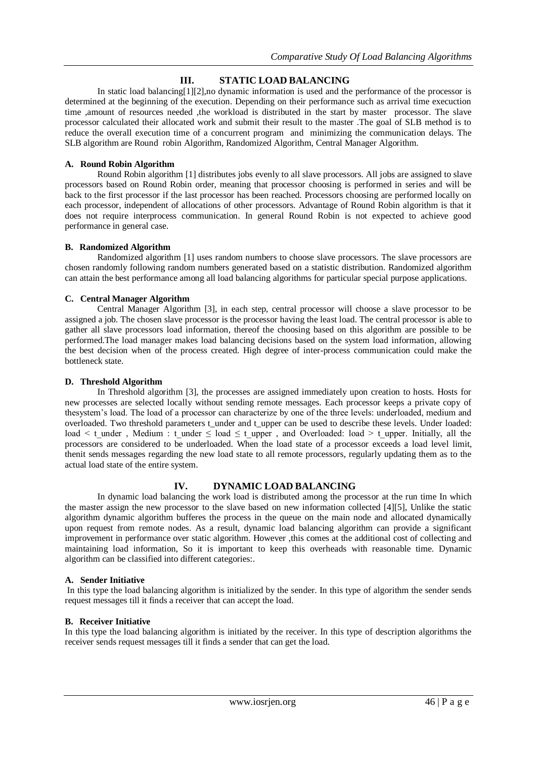## **III. STATIC LOAD BALANCING**

In static load balancing[1][2], no dynamic information is used and the performance of the processor is determined at the beginning of the execution. Depending on their performance such as arrival time execuction time ,amount of resources needed ,the workload is distributed in the start by master processor. The slave processor calculated their allocated work and submit their result to the master .The goal of SLB method is to reduce the overall execution time of a concurrent program and minimizing the communication delays. The SLB algorithm are Round robin Algorithm, Randomized Algorithm, Central Manager Algorithm.

## **A. Round Robin Algorithm**

Round Robin algorithm [1] distributes jobs evenly to all slave processors. All jobs are assigned to slave processors based on Round Robin order, meaning that processor choosing is performed in series and will be back to the first processor if the last processor has been reached. Processors choosing are performed locally on each processor, independent of allocations of other processors. Advantage of Round Robin algorithm is that it does not require interprocess communication. In general Round Robin is not expected to achieve good performance in general case.

## **B. Randomized Algorithm**

Randomized algorithm [1] uses random numbers to choose slave processors. The slave processors are chosen randomly following random numbers generated based on a statistic distribution. Randomized algorithm can attain the best performance among all load balancing algorithms for particular special purpose applications.

## **C. Central Manager Algorithm**

Central Manager Algorithm [3], in each step, central processor will choose a slave processor to be assigned a job. The chosen slave processor is the processor having the least load. The central processor is able to gather all slave processors load information, thereof the choosing based on this algorithm are possible to be performed.The load manager makes load balancing decisions based on the system load information, allowing the best decision when of the process created. High degree of inter-process communication could make the bottleneck state.

## **D. Threshold Algorithm**

In Threshold algorithm [3], the processes are assigned immediately upon creation to hosts. Hosts for new processes are selected locally without sending remote messages. Each processor keeps a private copy of thesystem's load. The load of a processor can characterize by one of the three levels: underloaded, medium and overloaded. Two threshold parameters t\_under and t\_upper can be used to describe these levels. Under loaded: load < t under , Medium : t under  $\le$  load  $\le$  t\_upper , and Overloaded: load > t\_upper. Initially, all the processors are considered to be underloaded. When the load state of a processor exceeds a load level limit, thenit sends messages regarding the new load state to all remote processors, regularly updating them as to the actual load state of the entire system.

## **IV. DYNAMIC LOAD BALANCING**

In dynamic load balancing the work load is distributed among the processor at the run time In which the master assign the new processor to the slave based on new information collected [4][5], Unlike the static algorithm dynamic algorithm bufferes the process in the queue on the main node and allocated dynamically upon request from remote nodes. As a result, dynamic load balancing algorithm can provide a significant improvement in performance over static algorithm. However ,this comes at the additional cost of collecting and maintaining load information, So it is important to keep this overheads with reasonable time. Dynamic algorithm can be classified into different categories:.

## **A. Sender Initiative**

In this type the load balancing algorithm is initialized by the sender. In this type of algorithm the sender sends request messages till it finds a receiver that can accept the load.

## **B. Receiver Initiative**

In this type the load balancing algorithm is initiated by the receiver. In this type of description algorithms the receiver sends request messages till it finds a sender that can get the load.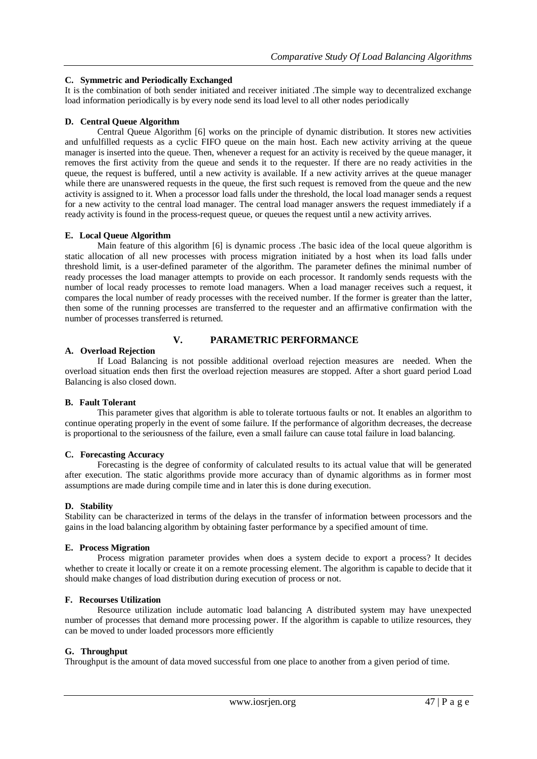## **C. Symmetric and Periodically Exchanged**

It is the combination of both sender initiated and receiver initiated .The simple way to decentralized exchange load information periodically is by every node send its load level to all other nodes periodically

#### **D. Central Queue Algorithm**

Central Queue Algorithm [6] works on the principle of dynamic distribution. It stores new activities and unfulfilled requests as a cyclic FIFO queue on the main host. Each new activity arriving at the queue manager is inserted into the queue. Then, whenever a request for an activity is received by the queue manager, it removes the first activity from the queue and sends it to the requester. If there are no ready activities in the queue, the request is buffered, until a new activity is available. If a new activity arrives at the queue manager while there are unanswered requests in the queue, the first such request is removed from the queue and the new activity is assigned to it. When a processor load falls under the threshold, the local load manager sends a request for a new activity to the central load manager. The central load manager answers the request immediately if a ready activity is found in the process-request queue, or queues the request until a new activity arrives.

#### **E. Local Queue Algorithm**

Main feature of this algorithm [6] is dynamic process .The basic idea of the local queue algorithm is static allocation of all new processes with process migration initiated by a host when its load falls under threshold limit, is a user-defined parameter of the algorithm. The parameter defines the minimal number of ready processes the load manager attempts to provide on each processor. It randomly sends requests with the number of local ready processes to remote load managers. When a load manager receives such a request, it compares the local number of ready processes with the received number. If the former is greater than the latter, then some of the running processes are transferred to the requester and an affirmative confirmation with the number of processes transferred is returned.

## **V. PARAMETRIC PERFORMANCE**

#### **A. Overload Rejection**

If Load Balancing is not possible additional overload rejection measures are needed. When the overload situation ends then first the overload rejection measures are stopped. After a short guard period Load Balancing is also closed down.

#### **B. Fault Tolerant**

This parameter gives that algorithm is able to tolerate tortuous faults or not. It enables an algorithm to continue operating properly in the event of some failure. If the performance of algorithm decreases, the decrease is proportional to the seriousness of the failure, even a small failure can cause total failure in load balancing.

#### **C. Forecasting Accuracy**

Forecasting is the degree of conformity of calculated results to its actual value that will be generated after execution. The static algorithms provide more accuracy than of dynamic algorithms as in former most assumptions are made during compile time and in later this is done during execution.

#### **D. Stability**

Stability can be characterized in terms of the delays in the transfer of information between processors and the gains in the load balancing algorithm by obtaining faster performance by a specified amount of time.

#### **E. Process Migration**

Process migration parameter provides when does a system decide to export a process? It decides whether to create it locally or create it on a remote processing element. The algorithm is capable to decide that it should make changes of load distribution during execution of process or not.

#### **F. Recourses Utilization**

Resource utilization include automatic load balancing A distributed system may have unexpected number of processes that demand more processing power. If the algorithm is capable to utilize resources, they can be moved to under loaded processors more efficiently

#### **G. Throughput**

Throughput is the amount of data moved successful from one place to another from a given period of time.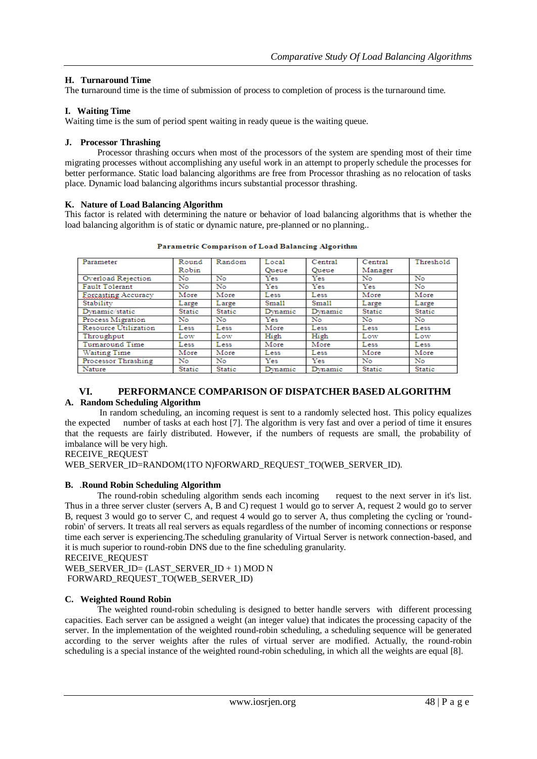## **H. Turnaround Time**

The **turnaround** time is the time of submission of process to completion of process is the turnaround time.

## **I. Waiting Time**

Waiting time is the sum of period spent waiting in ready queue is the waiting queue.

## **J. Processor Thrashing**

Processor thrashing occurs when most of the processors of the system are spending most of their time migrating processes without accomplishing any useful work in an attempt to properly schedule the processes for better performance. Static load balancing algorithms are free from Processor thrashing as no relocation of tasks place. Dynamic load balancing algorithms incurs substantial processor thrashing.

#### **K. Nature of Load Balancing Algorithm**

This factor is related with determining the nature or behavior of load balancing algorithms that is whether the load balancing algorithm is of static or dynamic nature, pre-planned or no planning..

| Parameter             | Round         | Random        | Local   | Central      | Central       | Threshold     |
|-----------------------|---------------|---------------|---------|--------------|---------------|---------------|
|                       | Robin         |               | Oueue   | Oueue        | Manager       |               |
| Overload Rejection    | No            | No            | Yes     | Yes          | No            | No            |
| <b>Fault Tolerant</b> | No            | No            | Yes     | Yes          | Yes           | No.           |
| Forcasting Accuracy   | More          | More          | Less    | Less         | More          | More          |
| Stability             | Large         | Large         | Small   | <b>Small</b> | Large         | Large         |
| Dynamic/static        | Static        | Static        | Dynamic | Dynamic      | Static        | Static        |
| Process Migration     | No            | No            | Yes     | No           | No            | No            |
| Resource Utilization  | Less          | Less          | More    | Less         | Less          | Less          |
| Throughput            | Low           | Low           | High    | High         | Low           | Low           |
| Turnaround Time       | Less          | Less          | More    | More         | Less          | Less          |
| <b>Waiting Time</b>   | More          | More          | Less    | Less         | More          | More          |
| Processor Thrashing   | No            | No            | Yes     | Yes          | No            | No            |
| Nature                | <b>Static</b> | <b>Static</b> | Dynamic | Dynamic      | <b>Static</b> | <b>Static</b> |

Parametric Comparison of Load Balancing Algorithm

## **VI. PERFORMANCE COMPARISON OF DISPATCHER BASED ALGORITHM**

## **A. Random Scheduling Algorithm**

In random scheduling, an incoming request is sent to a randomly selected host. This policy equalizes the expected number of tasks at each host [7]. The algorithm is very fast and over a period of time it ensures that the requests are fairly distributed. However, if the numbers of requests are small, the probability of imbalance will be very high.

RECEIVE\_REQUEST

WEB\_SERVER\_ID=RANDOM(1TO N)FORWARD\_REQUEST\_TO(WEB\_SERVER\_ID).

## **B.** .**Round Robin Scheduling Algorithm**

The round-robin scheduling algorithm sends each incoming request to the next server in it's list. Thus in a three server cluster (servers A, B and C) request 1 would go to server A, request 2 would go to server B, request 3 would go to server C, and request 4 would go to server A, thus completing the cycling or 'roundrobin' of servers. It treats all real servers as equals regardless of the number of incoming connections or response time each server is experiencing.The scheduling granularity of Virtual Server is network connection-based, and it is much superior to round-robin DNS due to the fine scheduling granularity.

```
RECEIVE_REQUEST
```
WEB\_SERVER\_ID= (LAST\_SERVER\_ID + 1) MOD N FORWARD\_REQUEST\_TO(WEB\_SERVER\_ID)

## **C. Weighted Round Robin**

The weighted round-robin scheduling is designed to better handle servers with different processing capacities. Each server can be assigned a weight (an integer value) that indicates the processing capacity of the server. In the implementation of the weighted round-robin scheduling, a scheduling sequence will be generated according to the server weights after the rules of virtual server are modified. Actually, the round-robin scheduling is a special instance of the weighted round-robin scheduling, in which all the weights are equal [8].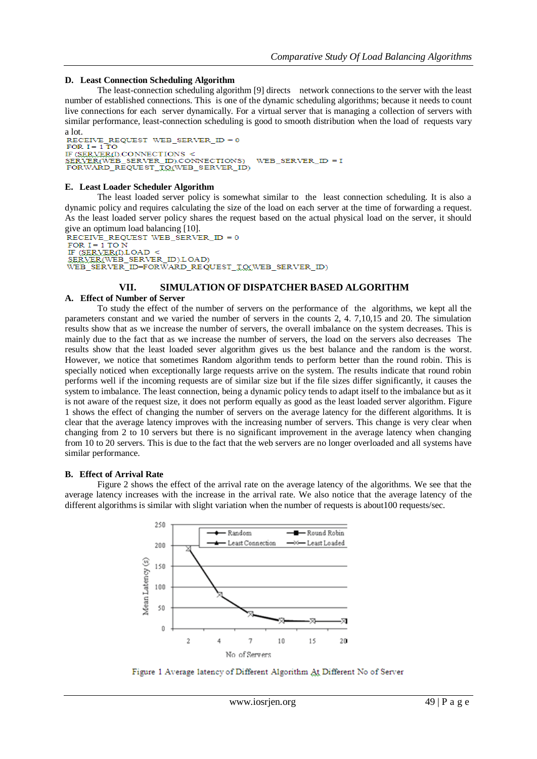#### **D. Least Connection Scheduling Algorithm**

The least-connection scheduling algorithm [9] directs network connections to the server with the least number of established connections. This is one of the dynamic scheduling algorithms; because it needs to count live connections for each server dynamically. For a virtual server that is managing a collection of servers with similar performance, least-connection scheduling is good to smooth distribution when the load ofrequests vary a lot.<br>RECEIVE

```
REQUEST WEB SERVER ID = 0FOR I = 1 TO
I CALL TIONS <<br>
IF (SERVER(WEB_SERVER_ID).CONNECTIONS)<br>
FORWARD_REQUEST_TO(WEB_SERVER_ID)
                                                              WEB SERVER ID = I
```
#### **E. Least Loader Scheduler Algorithm**

The least loaded server policy is somewhat similar to the least connection scheduling. It is also a dynamic policy and requires calculating the size of the load on each server at the time of forwarding a request. As the least loaded server policy shares the request based on the actual physical load on the server, it should give an optimum load balancing [10].<br>RECEIVE REQUEST WEB SERVER  $ID = 0$ 

```
FOR I = 1 TO N
IF (SERVER(I)LOAD <br/> SERVER(I)LOAD <br/> SERVER(IVEB_SERVER_ID).LOAD)
WEB_SERVER_ID=FORWARD_REQUEST_TO(WEB_SERVER_ID)
```
#### **VII. SIMULATION OF DISPATCHER BASED ALGORITHM**

#### **A. Effect of Number of Server**

To study the effect of the number of servers on the performance of the algorithms, we kept all the parameters constant and we varied the number of servers in the counts 2, 4. 7,10,15 and 20. The simulation results show that as we increase the number of servers, the overall imbalance on the system decreases. This is mainly due to the fact that as we increase the number of servers, the load on the servers also decreases The results show that the least loaded sever algorithm gives us the best balance and the random is the worst. However, we notice that sometimes Random algorithm tends to perform better than the round robin. This is specially noticed when exceptionally large requests arrive on the system. The results indicate that round robin performs well if the incoming requests are of similar size but if the file sizes differ significantly, it causes the system to imbalance. The least connection, being a dynamic policy tends to adapt itself to the imbalance but as it is not aware of the request size, it does not perform equally as good as the least loaded server algorithm. Figure 1 shows the effect of changing the number of servers on the average latency for the different algorithms. It is clear that the average latency improves with the increasing number of servers. This change is very clear when changing from 2 to 10 servers but there is no significant improvement in the average latency when changing from 10 to 20 servers. This is due to the fact that the web servers are no longer overloaded and all systems have similar performance.

#### **B. Effect of Arrival Rate**

Figure 2 shows the effect of the arrival rate on the average latency of the algorithms. We see that the average latency increases with the increase in the arrival rate. We also notice that the average latency of the different algorithms is similar with slight variation when the number of requests is about100 requests/sec.



Figure 1 Average latency of Different Algorithm At Different No of Server